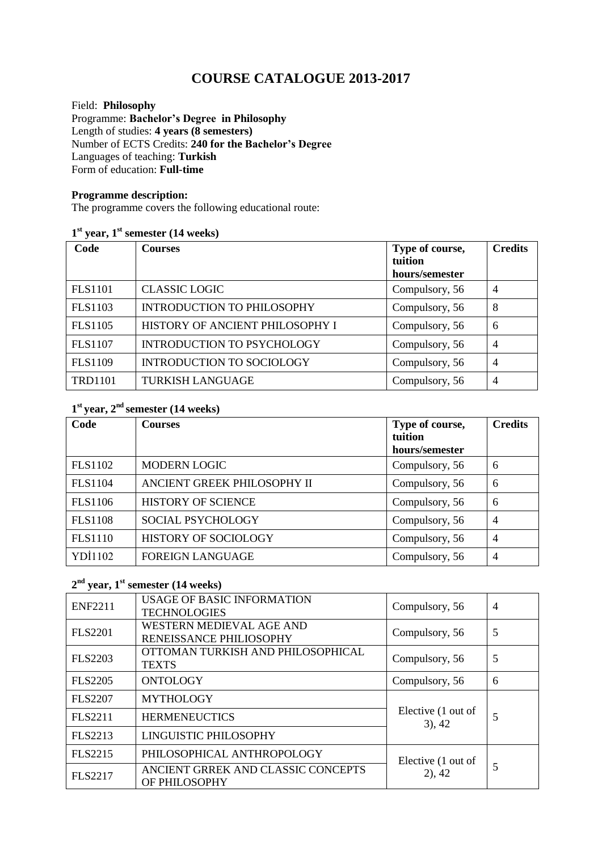# **COURSE CATALOGUE 2013-2017**

Field: **Philosophy** Programme: **Bachelor's Degree in Philosophy** Length of studies: **4 years (8 semesters)**  Number of ECTS Credits: **240 for the Bachelor's Degree** Languages of teaching: **Turkish** Form of education: **Full-time** 

#### **Programme description:**

The programme covers the following educational route:

#### **1 st year, 1st semester (14 weeks)**

| Code           | <b>Courses</b>                    | Type of course,<br>tuition<br>hours/semester | <b>Credits</b> |
|----------------|-----------------------------------|----------------------------------------------|----------------|
| <b>FLS1101</b> | <b>CLASSIC LOGIC</b>              | Compulsory, 56                               | $\overline{4}$ |
| <b>FLS1103</b> | <b>INTRODUCTION TO PHILOSOPHY</b> | Compulsory, 56                               | 8              |
| <b>FLS1105</b> | HISTORY OF ANCIENT PHILOSOPHY I   | Compulsory, 56                               | 6              |
| <b>FLS1107</b> | <b>INTRODUCTION TO PSYCHOLOGY</b> | Compulsory, 56                               | $\overline{4}$ |
| <b>FLS1109</b> | <b>INTRODUCTION TO SOCIOLOGY</b>  | Compulsory, 56                               | $\overline{4}$ |
| <b>TRD1101</b> | <b>TURKISH LANGUAGE</b>           | Compulsory, 56                               | $\overline{4}$ |

# **1 st year, 2nd semester (14 weeks)**

| Code           | <b>Courses</b>              | Type of course,<br>tuition | <b>Credits</b> |
|----------------|-----------------------------|----------------------------|----------------|
|                |                             | hours/semester             |                |
| <b>FLS1102</b> | <b>MODERN LOGIC</b>         | Compulsory, 56             | 6              |
| <b>FLS1104</b> | ANCIENT GREEK PHILOSOPHY II | Compulsory, 56             | 6              |
| <b>FLS1106</b> | <b>HISTORY OF SCIENCE</b>   | Compulsory, 56             | 6              |
| <b>FLS1108</b> | SOCIAL PSYCHOLOGY           | Compulsory, 56             | $\overline{4}$ |
| <b>FLS1110</b> | HISTORY OF SOCIOLOGY        | Compulsory, 56             | $\overline{4}$ |
| YDI1102        | <b>FOREIGN LANGUAGE</b>     | Compulsory, 56             | $\overline{4}$ |

#### **2 nd year, 1st semester (14 weeks)**

| <b>ENF2211</b> | USAGE OF BASIC INFORMATION<br><b>TECHNOLOGIES</b>   | Compulsory, 56                  | $\overline{4}$ |
|----------------|-----------------------------------------------------|---------------------------------|----------------|
| <b>FLS2201</b> | WESTERN MEDIEVAL AGE AND<br>RENEISSANCE PHILIOSOPHY | Compulsory, 56                  | 5              |
| <b>FLS2203</b> | OTTOMAN TURKISH AND PHILOSOPHICAL<br><b>TEXTS</b>   | Compulsory, 56                  | 5              |
| <b>FLS2205</b> | <b>ONTOLOGY</b>                                     | Compulsory, 56                  | 6              |
| <b>FLS2207</b> | <b>MYTHOLOGY</b>                                    |                                 |                |
| <b>FLS2211</b> | <b>HERMENEUCTICS</b>                                | Elective (1 out of<br>$3)$ , 42 | 5              |
| FLS2213        | <b>LINGUISTIC PHILOSOPHY</b>                        |                                 |                |
| <b>FLS2215</b> | PHILOSOPHICAL ANTHROPOLOGY                          | Elective (1 out of<br>$2)$ , 42 | 5              |
| <b>FLS2217</b> | ANCIENT GRREK AND CLASSIC CONCEPTS<br>OF PHILOSOPHY |                                 |                |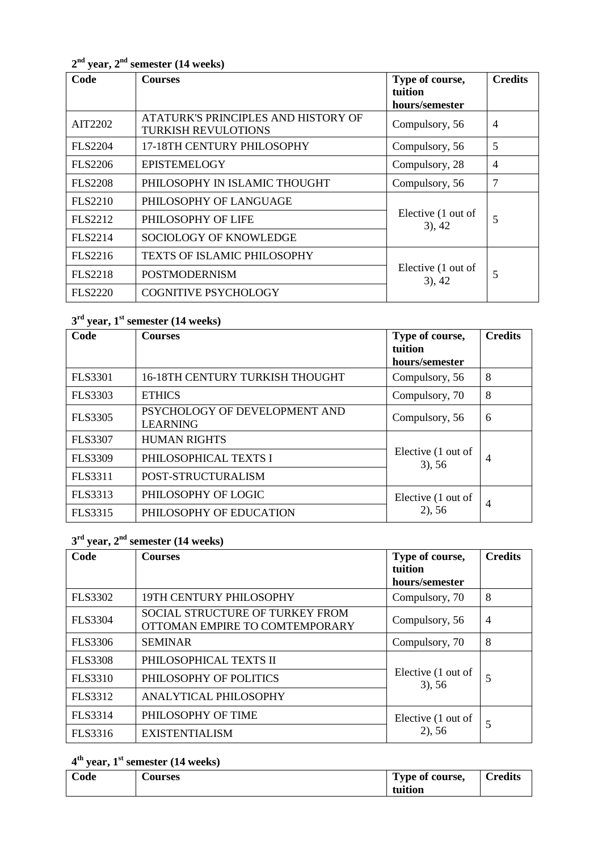| Code           | <b>Courses</b>                                                    | Type of course,<br>tuition      | <b>Credits</b> |
|----------------|-------------------------------------------------------------------|---------------------------------|----------------|
|                |                                                                   | hours/semester                  |                |
| AIT2202        | ATATURK'S PRINCIPLES AND HISTORY OF<br><b>TURKISH REVULOTIONS</b> | Compulsory, 56                  | $\overline{4}$ |
| <b>FLS2204</b> | 17-18TH CENTURY PHILOSOPHY                                        | Compulsory, 56                  | 5              |
| <b>FLS2206</b> | <b>EPISTEMELOGY</b>                                               | Compulsory, 28                  | $\overline{4}$ |
| <b>FLS2208</b> | PHILOSOPHY IN ISLAMIC THOUGHT                                     | Compulsory, 56                  | 7              |
| <b>FLS2210</b> | PHILOSOPHY OF LANGUAGE                                            |                                 |                |
| FLS2212        | PHILOSOPHY OF LIFE                                                | Elective (1 out of<br>$3)$ , 42 | 5              |
| <b>FLS2214</b> | <b>SOCIOLOGY OF KNOWLEDGE</b>                                     |                                 |                |
| FLS2216        | <b>TEXTS OF ISLAMIC PHILOSOPHY</b>                                |                                 |                |
| <b>FLS2218</b> | <b>POSTMODERNISM</b>                                              | Elective (1 out of<br>$3)$ , 42 | 5              |
| <b>FLS2220</b> | <b>COGNITIVE PSYCHOLOGY</b>                                       |                                 |                |

**2 nd year, 2 nd semester (14 weeks)**

## **3 rd year, 1 st semester (14 weeks)**

| Code           | <b>Courses</b>                                   | Type of course,<br>tuition<br>hours/semester | <b>Credits</b> |
|----------------|--------------------------------------------------|----------------------------------------------|----------------|
| <b>FLS3301</b> | 16-18TH CENTURY TURKISH THOUGHT                  | Compulsory, 56                               | 8              |
| FLS3303        | <b>ETHICS</b>                                    | Compulsory, 70                               | 8              |
| <b>FLS3305</b> | PSYCHOLOGY OF DEVELOPMENT AND<br><b>LEARNING</b> | Compulsory, 56                               | 6              |
| <b>FLS3307</b> | <b>HUMAN RIGHTS</b>                              |                                              |                |
| <b>FLS3309</b> | PHILOSOPHICAL TEXTS I                            | Elective (1 out of<br>$3)$ , 56              | 4              |
| FLS3311        | POST-STRUCTURALISM                               |                                              |                |
| FLS3313        | PHILOSOPHY OF LOGIC                              | Elective (1 out of                           | 4              |
| FLS3315        | PHILOSOPHY OF EDUCATION                          | $2)$ , 56                                    |                |

## **3 rd year, 2 nd semester (14 weeks)**

| Code           | <b>Courses</b>                                                           | Type of course,<br>tuition<br>hours/semester | <b>Credits</b> |
|----------------|--------------------------------------------------------------------------|----------------------------------------------|----------------|
| FLS3302        | 19TH CENTURY PHILOSOPHY                                                  | Compulsory, 70                               | 8              |
| <b>FLS3304</b> | <b>SOCIAL STRUCTURE OF TURKEY FROM</b><br>OTTOMAN EMPIRE TO COMTEMPORARY | Compulsory, 56                               | $\overline{4}$ |
| FLS3306        | <b>SEMINAR</b>                                                           | Compulsory, 70                               | 8              |
| <b>FLS3308</b> | PHILOSOPHICAL TEXTS II                                                   |                                              |                |
| <b>FLS3310</b> | PHILOSOPHY OF POLITICS                                                   | Elective (1 out of<br>$3)$ , 56              | 5              |
| FLS3312        | ANALYTICAL PHILOSOPHY                                                    |                                              |                |
| FLS3314        | PHILOSOPHY OF TIME                                                       | Elective (1 out of                           |                |
| FLS3316        | <b>EXISTENTIALISM</b>                                                    | $2)$ , 56                                    | 5              |

## **4 th year, 1 st semester (14 weeks)**

| $\sim$<br>ode | <b>Courses</b> | Type of course, | <b>Credits</b> |
|---------------|----------------|-----------------|----------------|
|               |                | tuition         |                |